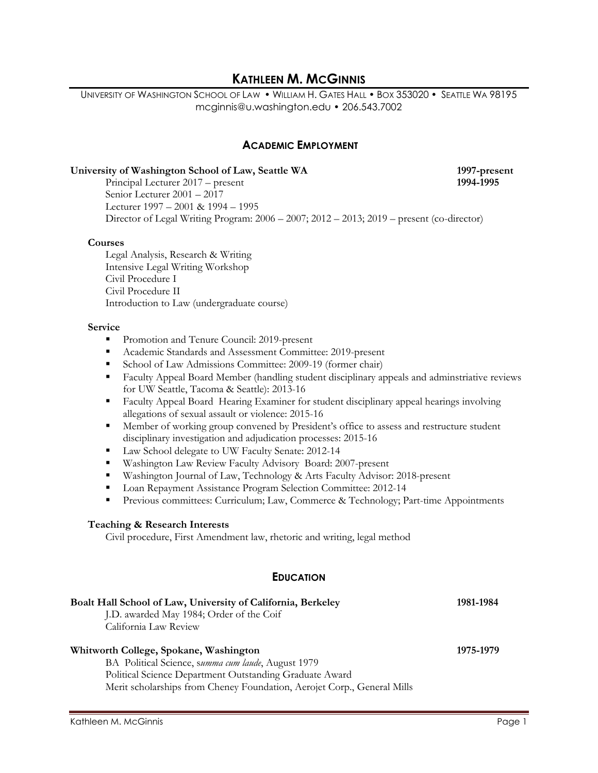# **KATHLEEN M. MCGINNIS**

UNIVERSITY OF WASHINGTON SCHOOL OF LAW • WILLIAM H. GATES HALL • BOX 353020 • SEATTLE WA 98195 mcginnis@u.washington.edu • 206.543.7002

### **ACADEMIC EMPLOYMENT**

#### **University of Washington School of Law, Seattle WA 1997-present**

Principal Lecturer 2017 – present **1994-1995** Senior Lecturer 2001 – 2017 Lecturer 1997 – 2001 & 1994 – 1995 Director of Legal Writing Program: 2006 – 2007; 2012 – 2013; 2019 – present (co-director)

#### **Courses**

Legal Analysis, Research & Writing Intensive Legal Writing Workshop Civil Procedure I Civil Procedure II Introduction to Law (undergraduate course)

#### **Service**

- **Promotion and Tenure Council: 2019-present**
- Academic Standards and Assessment Committee: 2019-present
- Gehool of Law Admissions Committee: 2009-19 (former chair)
- **Faculty Appeal Board Member (handling student disciplinary appeals and adminstriative reviews** for UW Seattle, Tacoma & Seattle): 2013-16
- Faculty Appeal Board Hearing Examiner for student disciplinary appeal hearings involving allegations of sexual assault or violence: 2015-16
- **Member of working group convened by President's office to assess and restructure student** disciplinary investigation and adjudication processes: 2015-16
- Law School delegate to UW Faculty Senate: 2012-14
- Washington Law Review Faculty Advisory Board: 2007-present
- Washington Journal of Law, Technology & Arts Faculty Advisor: 2018-present
- Loan Repayment Assistance Program Selection Committee: 2012-14
- Previous committees: Curriculum; Law, Commerce & Technology; Part-time Appointments

#### **Teaching & Research Interests**

Civil procedure, First Amendment law, rhetoric and writing, legal method

#### **EDUCATION**

| Boalt Hall School of Law, University of California, Berkeley            | 1981-1984 |
|-------------------------------------------------------------------------|-----------|
| J.D. awarded May 1984; Order of the Coif                                |           |
| California Law Review                                                   |           |
| Whitworth College, Spokane, Washington                                  | 1975-1979 |
| BA Political Science, summa cum laude, August 1979                      |           |
| Political Science Department Outstanding Graduate Award                 |           |
| Merit scholarships from Cheney Foundation, Aerojet Corp., General Mills |           |
|                                                                         |           |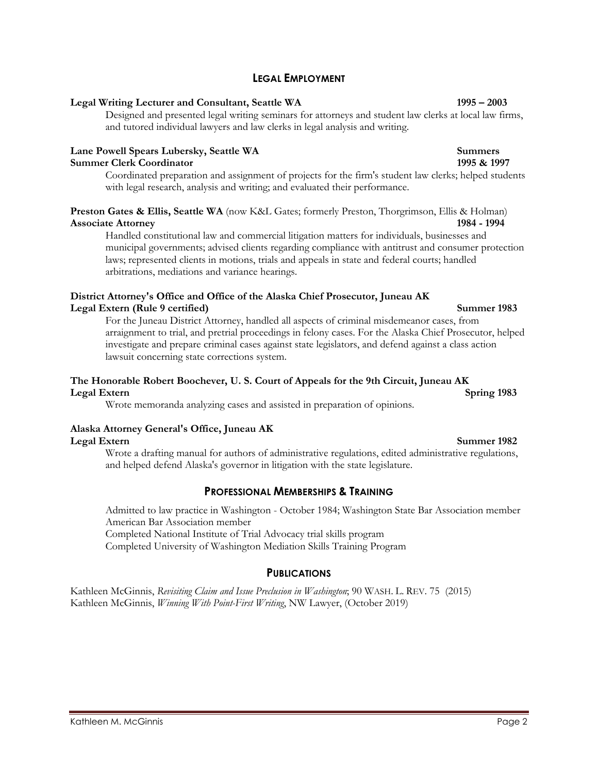# **LEGAL EMPLOYMENT**

## **Legal Writing Lecturer and Consultant, Seattle WA 1995 – 2003**

Designed and presented legal writing seminars for attorneys and student law clerks at local law firms, and tutored individual lawyers and law clerks in legal analysis and writing.

## **Lane Powell Spears Lubersky, Seattle WA Summers Summer Clerk Coordinator 1995 & 1997**

Coordinated preparation and assignment of projects for the firm's student law clerks; helped students with legal research, analysis and writing; and evaluated their performance.

## **Preston Gates & Ellis, Seattle WA** (now K&L Gates; formerly Preston, Thorgrimson, Ellis & Holman) **Associate Attorney 1984 - 1994**

Handled constitutional law and commercial litigation matters for individuals, businesses and municipal governments; advised clients regarding compliance with antitrust and consumer protection laws; represented clients in motions, trials and appeals in state and federal courts; handled arbitrations, mediations and variance hearings.

## **District Attorney's Office and Office of the Alaska Chief Prosecutor, Juneau AK Legal Extern (Rule 9 certified) Summer 1983**

For the Juneau District Attorney, handled all aspects of criminal misdemeanor cases, from arraignment to trial, and pretrial proceedings in felony cases. For the Alaska Chief Prosecutor, helped investigate and prepare criminal cases against state legislators, and defend against a class action lawsuit concerning state corrections system.

## **The Honorable Robert Boochever, U. S. Court of Appeals for the 9th Circuit, Juneau AK Legal Extern Spring 1983**

Wrote memoranda analyzing cases and assisted in preparation of opinions.

## **Alaska Attorney General's Office, Juneau AK**

Wrote a drafting manual for authors of administrative regulations, edited administrative regulations, and helped defend Alaska's governor in litigation with the state legislature.

# **PROFESSIONAL MEMBERSHIPS & TRAINING**

Admitted to law practice in Washington - October 1984; Washington State Bar Association member American Bar Association member Completed National Institute of Trial Advocacy trial skills program

Completed University of Washington Mediation Skills Training Program

# **PUBLICATIONS**

Kathleen McGinnis, *Revisiting Claim and Issue Preclusion in Washington*; 90 WASH. L. REV. 75 (2015) Kathleen McGinnis, *Winning With Point-First Writing*, NW Lawyer, (October 2019)

#### **Legal Extern Summer 1982**